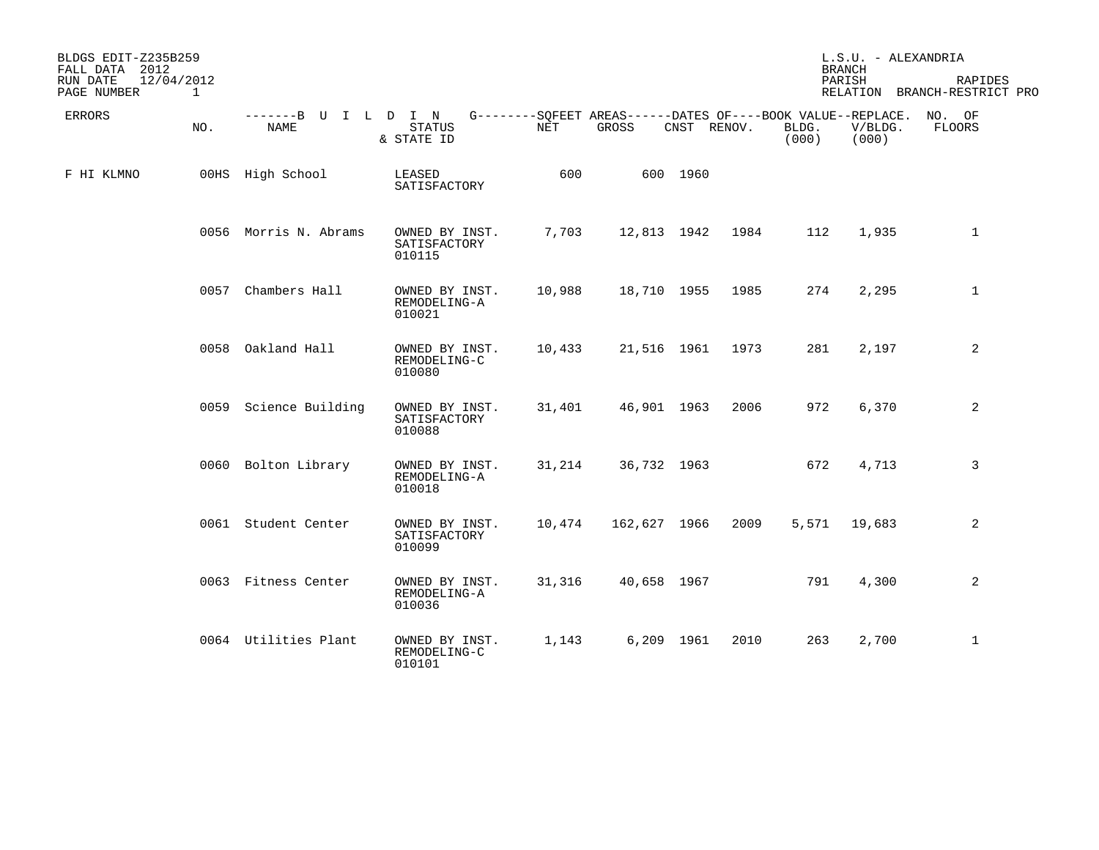| BLDGS EDIT-Z235B259<br>FALL DATA 2012<br>RUN DATE | 12/04/2012   |                              |                                          |                      |                                                                      |            |             |                | L.S.U. - ALEXANDRIA<br><b>BRANCH</b><br>PARISH | RAPIDES                      |
|---------------------------------------------------|--------------|------------------------------|------------------------------------------|----------------------|----------------------------------------------------------------------|------------|-------------|----------------|------------------------------------------------|------------------------------|
| PAGE NUMBER                                       | $\mathbf{1}$ |                              |                                          |                      |                                                                      |            |             |                |                                                | RELATION BRANCH-RESTRICT PRO |
| ERRORS                                            | NO.          | -------B U I L D I N<br>NAME | <b>STATUS</b><br>& STATE ID              | $\operatorname{NET}$ | G--------SQFEET AREAS------DATES OF----BOOK VALUE--REPLACE.<br>GROSS |            | CNST RENOV. | BLDG.<br>(000) | V/BLDG.<br>(000)                               | NO. OF<br>FLOORS             |
| F HI KLMNO                                        |              | 00HS High School             | LEASED<br>SATISFACTORY                   | 600                  |                                                                      | 600 1960   |             |                |                                                |                              |
|                                                   |              | 0056 Morris N. Abrams        | OWNED BY INST.<br>SATISFACTORY<br>010115 | 7,703                | 12,813 1942                                                          |            | 1984        | 112            | 1,935                                          | $\mathbf{1}$                 |
|                                                   | 0057         | Chambers Hall                | OWNED BY INST.<br>REMODELING-A<br>010021 | 10,988               | 18,710 1955                                                          |            | 1985        | 274            | 2,295                                          | $\mathbf{1}$                 |
|                                                   |              | 0058 Oakland Hall            | OWNED BY INST.<br>REMODELING-C<br>010080 | 10,433               | 21,516 1961                                                          |            | 1973        | 281            | 2,197                                          | 2                            |
|                                                   |              | 0059 Science Building        | OWNED BY INST.<br>SATISFACTORY<br>010088 | 31,401               | 46,901 1963                                                          |            | 2006        | 972            | 6,370                                          | 2                            |
|                                                   |              | 0060 Bolton Library          | OWNED BY INST.<br>REMODELING-A<br>010018 | 31,214               | 36,732 1963                                                          |            |             | 672            | 4,713                                          | 3                            |
|                                                   |              | 0061 Student Center          | OWNED BY INST.<br>SATISFACTORY<br>010099 | 10,474               | 162,627 1966                                                         |            | 2009        |                | 5,571 19,683                                   | 2                            |
|                                                   |              | 0063 Fitness Center          | OWNED BY INST.<br>REMODELING-A<br>010036 | 31,316               | 40,658 1967                                                          |            |             | 791            | 4,300                                          | 2                            |
|                                                   |              | 0064 Utilities Plant         | OWNED BY INST.<br>REMODELING-C<br>010101 | 1,143                |                                                                      | 6,209 1961 | 2010        | 263            | 2,700                                          | $\mathbf{1}$                 |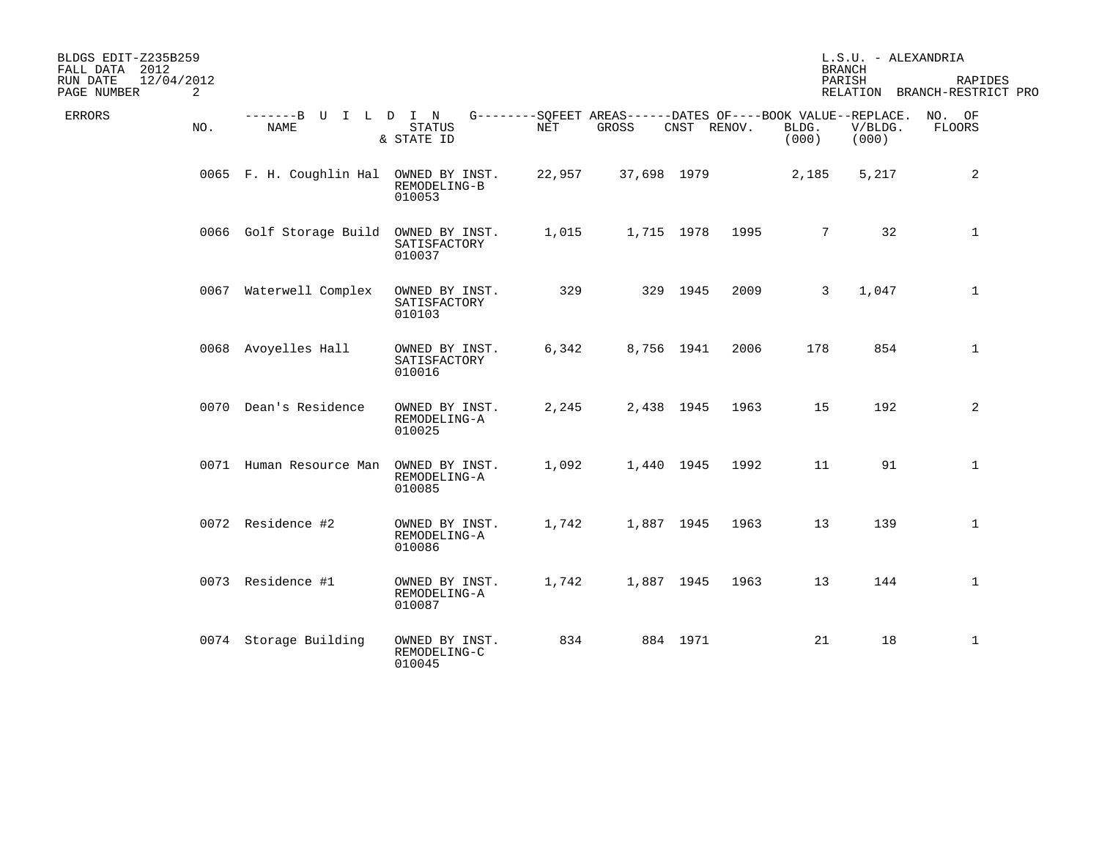| BLDGS EDIT-Z235B259<br>FALL DATA 2012 |     |                                        |                                          |        |                                                                      |             | L.S.U. - ALEXANDRIA<br><b>BRANCH</b> |                |                  |                                         |
|---------------------------------------|-----|----------------------------------------|------------------------------------------|--------|----------------------------------------------------------------------|-------------|--------------------------------------|----------------|------------------|-----------------------------------------|
| 12/04/2012<br>RUN DATE<br>PAGE NUMBER | 2   |                                        |                                          |        |                                                                      |             |                                      |                | PARISH           | RAPIDES<br>RELATION BRANCH-RESTRICT PRO |
| ERRORS                                | NO. | -------B U I L D I N<br>NAME           | <b>STATUS</b><br>& STATE ID              | NET    | G--------SOFEET AREAS------DATES OF----BOOK VALUE--REPLACE.<br>GROSS | CNST RENOV. |                                      | BLDG.<br>(000) | V/BLDG.<br>(000) | NO. OF<br>FLOORS                        |
|                                       |     | 0065 F. H. Coughlin Hal OWNED BY INST. | REMODELING-B<br>010053                   | 22,957 | 37,698 1979                                                          |             |                                      | 2,185          | 5,217            | 2                                       |
|                                       |     | 0066 Golf Storage Build                | OWNED BY INST.<br>SATISFACTORY<br>010037 | 1,015  |                                                                      | 1,715 1978  | 1995                                 | 7              | 32               | $\mathbf{1}$                            |
|                                       |     | 0067 Waterwell Complex                 | OWNED BY INST.<br>SATISFACTORY<br>010103 | 329    |                                                                      | 329 1945    | 2009                                 | $\mathbf{3}$   | 1,047            | $\mathbf{1}$                            |
|                                       |     | 0068 Avoyelles Hall                    | OWNED BY INST.<br>SATISFACTORY<br>010016 | 6,342  |                                                                      | 8,756 1941  | 2006                                 | 178            | 854              | $\mathbf{1}$                            |
|                                       |     | 0070 Dean's Residence                  | OWNED BY INST.<br>REMODELING-A<br>010025 | 2,245  |                                                                      | 2,438 1945  | 1963                                 | 15             | 192              | 2                                       |
|                                       |     | 0071 Human Resource Man                | OWNED BY INST.<br>REMODELING-A<br>010085 | 1,092  |                                                                      | 1,440 1945  | 1992                                 | 11             | 91               | $\mathbf{1}$                            |
|                                       |     | 0072 Residence #2                      | OWNED BY INST.<br>REMODELING-A<br>010086 | 1,742  |                                                                      | 1,887 1945  | 1963                                 | 13             | 139              | $\mathbf{1}$                            |
|                                       |     | 0073 Residence #1                      | OWNED BY INST.<br>REMODELING-A<br>010087 | 1,742  |                                                                      | 1,887 1945  | 1963                                 | 13             | 144              | $\mathbf{1}$                            |
|                                       |     | 0074 Storage Building                  | OWNED BY INST.<br>REMODELING-C<br>010045 | 834    |                                                                      | 884 1971    |                                      | 21             | 18               | $\mathbf{1}$                            |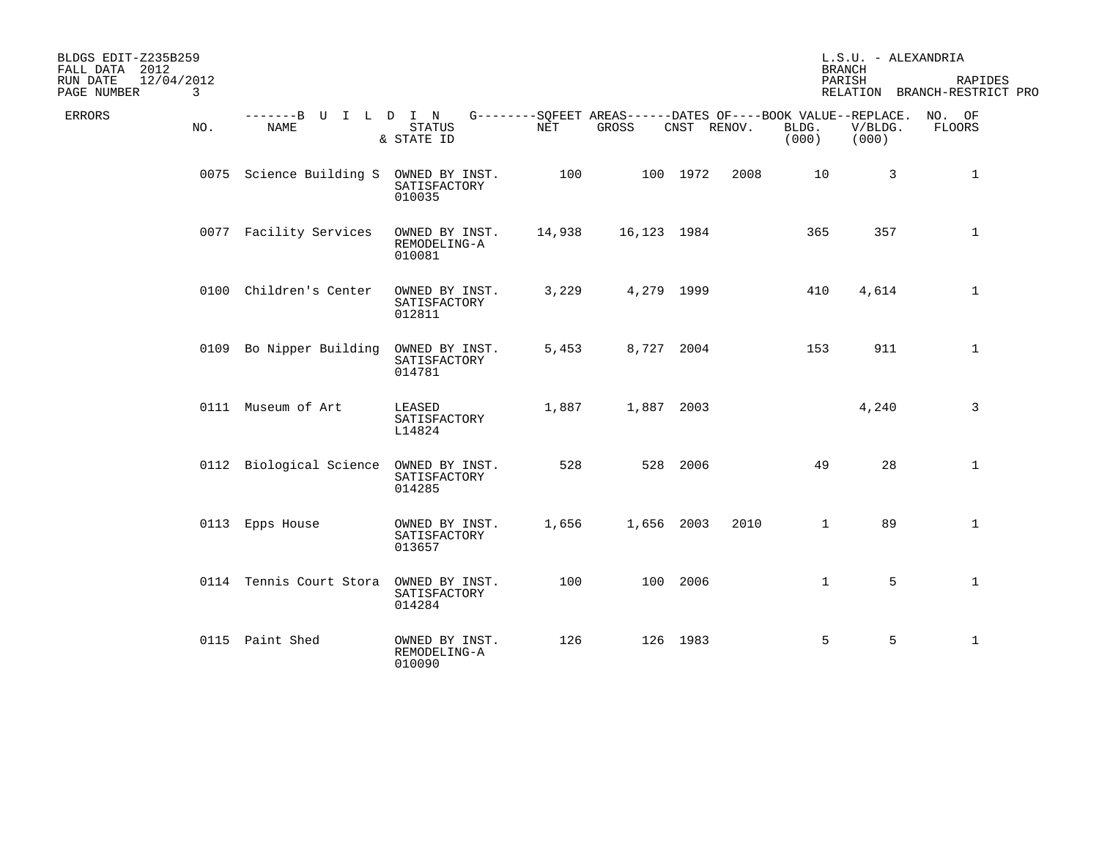| BLDGS EDIT-Z235B259<br>FALL DATA 2012 |     |                                        |                                          |        |                                                                      |             | L.S.U. - ALEXANDRIA<br><b>BRANCH</b> |                |                  |                                         |
|---------------------------------------|-----|----------------------------------------|------------------------------------------|--------|----------------------------------------------------------------------|-------------|--------------------------------------|----------------|------------------|-----------------------------------------|
| 12/04/2012<br>RUN DATE<br>PAGE NUMBER | 3   |                                        |                                          |        |                                                                      |             |                                      |                | PARISH           | RAPIDES<br>RELATION BRANCH-RESTRICT PRO |
| ERRORS                                | NO. | -------B U I L D I N<br>NAME           | <b>STATUS</b><br>& STATE ID              | NET    | G--------SOFEET AREAS------DATES OF----BOOK VALUE--REPLACE.<br>GROSS | CNST RENOV. |                                      | BLDG.<br>(000) | V/BLDG.<br>(000) | NO. OF<br>FLOORS                        |
|                                       |     | 0075 Science Building S                | OWNED BY INST.<br>SATISFACTORY<br>010035 | 100    |                                                                      | 100 1972    | 2008                                 | 10             | 3                | $\mathbf{1}$                            |
|                                       |     | 0077 Facility Services                 | OWNED BY INST.<br>REMODELING-A<br>010081 | 14,938 | 16,123 1984                                                          |             |                                      | 365            | 357              | $\mathbf{1}$                            |
|                                       |     | 0100 Children's Center                 | OWNED BY INST.<br>SATISFACTORY<br>012811 | 3,229  | 4,279 1999                                                           |             |                                      | 410            | 4,614            | $\mathbf{1}$                            |
|                                       |     | 0109 Bo Nipper Building                | OWNED BY INST.<br>SATISFACTORY<br>014781 | 5,453  | 8,727 2004                                                           |             |                                      | 153            | 911              | $\mathbf{1}$                            |
|                                       |     | 0111 Museum of Art                     | LEASED<br>SATISFACTORY<br>L14824         | 1,887  | 1,887 2003                                                           |             |                                      |                | 4,240            | 3                                       |
|                                       |     | 0112 Biological Science OWNED BY INST. | SATISFACTORY<br>014285                   | 528    |                                                                      | 528 2006    |                                      | 49             | 28               | $\mathbf{1}$                            |
|                                       |     | 0113 Epps House                        | OWNED BY INST.<br>SATISFACTORY<br>013657 | 1,656  | 1,656 2003                                                           |             | 2010                                 | $\mathbf{1}$   | 89               | $\mathbf{1}$                            |
|                                       |     | 0114 Tennis Court Stora                | OWNED BY INST.<br>SATISFACTORY<br>014284 | 100    |                                                                      | 100 2006    |                                      | $\mathbf 1$    | 5                | $\mathbf{1}$                            |
|                                       |     | 0115 Paint Shed                        | OWNED BY INST.<br>REMODELING-A<br>010090 | 126    |                                                                      | 126 1983    |                                      | 5              | 5                | $\mathbf{1}$                            |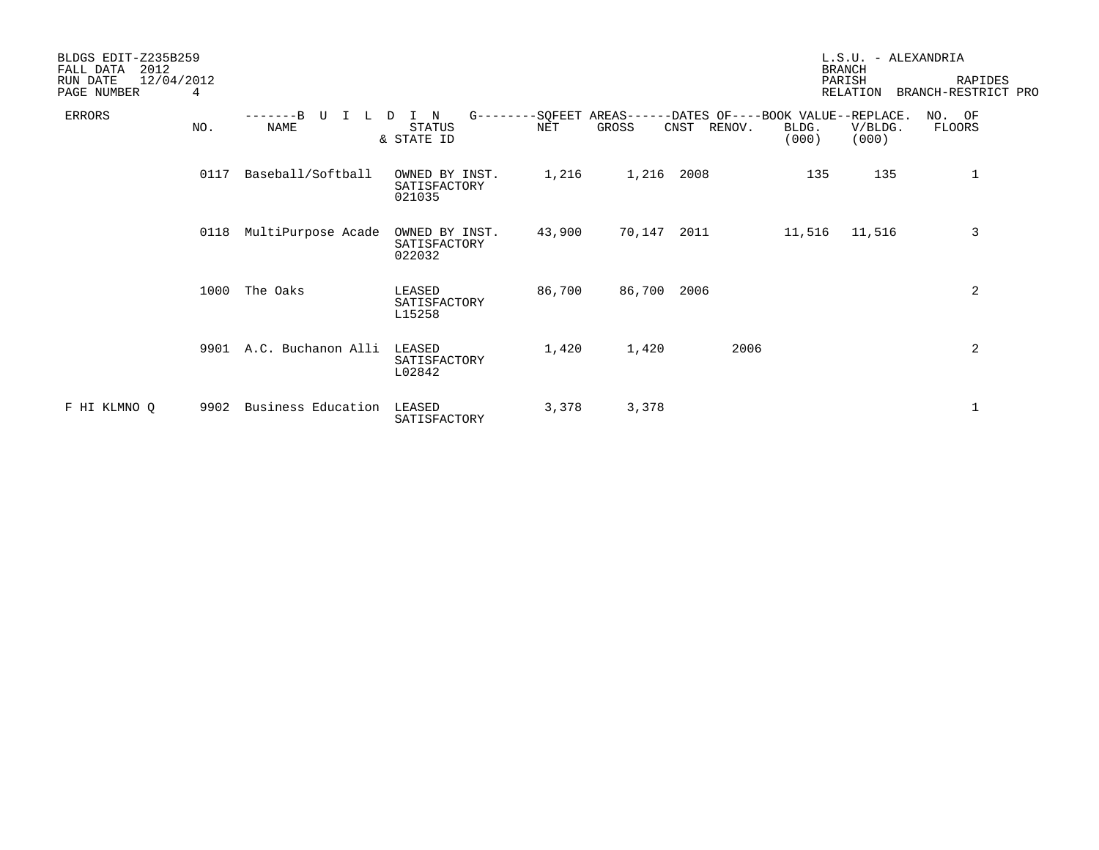| BLDGS EDIT-Z235B259<br>2012<br>FALL DATA   |                    |                                          |        |        |                                                                               |                | L.S.U. - ALEXANDRIA<br><b>BRANCH</b> |                                |
|--------------------------------------------|--------------------|------------------------------------------|--------|--------|-------------------------------------------------------------------------------|----------------|--------------------------------------|--------------------------------|
| 12/04/2012<br>RUN DATE<br>PAGE NUMBER<br>4 |                    |                                          |        |        |                                                                               |                | PARISH<br><b>RELATION</b>            | RAPIDES<br>BRANCH-RESTRICT PRO |
| <b>ERRORS</b><br>NO.                       | L.<br>NAME         | I N<br>D<br><b>STATUS</b><br>& STATE ID  | NET    | GROSS  | G--------SQFEET AREAS------DATES OF----BOOK VALUE--REPLACE.<br>CNST<br>RENOV. | BLDG.<br>(000) | V/BLDG.<br>(000)                     | NO. OF<br>FLOORS               |
| 0117                                       | Baseball/Softball  | OWNED BY INST.<br>SATISFACTORY<br>021035 | 1,216  | 1,216  | 2008                                                                          | 135            | 135                                  | 1                              |
| 0118                                       | MultiPurpose Acade | OWNED BY INST.<br>SATISFACTORY<br>022032 | 43,900 | 70,147 | 2011                                                                          | 11,516         | 11,516                               | 3                              |
| 1000                                       | The Oaks           | LEASED<br>SATISFACTORY<br>L15258         | 86,700 | 86,700 | 2006                                                                          |                |                                      | 2                              |
| 9901                                       | A.C. Buchanon Alli | LEASED<br>SATISFACTORY<br>L02842         | 1,420  | 1,420  | 2006                                                                          |                |                                      | 2                              |
| F HI KLMNO Q<br>9902                       | Business Education | LEASED<br>SATISFACTORY                   | 3,378  | 3,378  |                                                                               |                |                                      | 1                              |